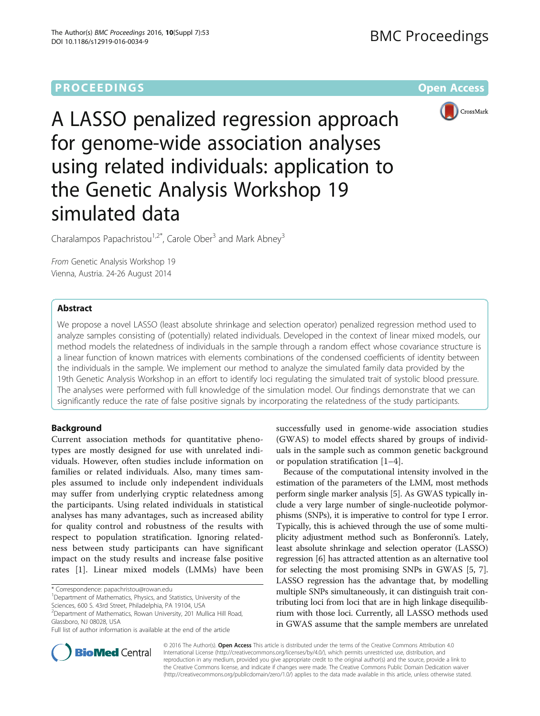

A LASSO penalized regression approach for genome-wide association analyses using related individuals: application to the Genetic Analysis Workshop 19 simulated data

Charalampos Papachristou<sup>1,2\*</sup>, Carole Ober<sup>3</sup> and Mark Abney<sup>3</sup>

From Genetic Analysis Workshop 19 Vienna, Austria. 24-26 August 2014

# Abstract

We propose a novel LASSO (least absolute shrinkage and selection operator) penalized regression method used to analyze samples consisting of (potentially) related individuals. Developed in the context of linear mixed models, our method models the relatedness of individuals in the sample through a random effect whose covariance structure is a linear function of known matrices with elements combinations of the condensed coefficients of identity between the individuals in the sample. We implement our method to analyze the simulated family data provided by the 19th Genetic Analysis Workshop in an effort to identify loci regulating the simulated trait of systolic blood pressure. The analyses were performed with full knowledge of the simulation model. Our findings demonstrate that we can significantly reduce the rate of false positive signals by incorporating the relatedness of the study participants.

# Background

Current association methods for quantitative phenotypes are mostly designed for use with unrelated individuals. However, often studies include information on families or related individuals. Also, many times samples assumed to include only independent individuals may suffer from underlying cryptic relatedness among the participants. Using related individuals in statistical analyses has many advantages, such as increased ability for quality control and robustness of the results with respect to population stratification. Ignoring relatedness between study participants can have significant impact on the study results and increase false positive rates [\[1](#page-5-0)]. Linear mixed models (LMMs) have been

\* Correspondence: [papachristou@rowan.edu](mailto:papachristou@rowan.edu) <sup>1</sup>

<sup>1</sup>Department of Mathematics, Physics, and Statistics, University of the

Sciences, 600 S. 43rd Street, Philadelphia, PA 19104, USA

2 Department of Mathematics, Rowan University, 201 Mullica Hill Road, Glassboro, NJ 08028, USA

Full list of author information is available at the end of the article

successfully used in genome-wide association studies (GWAS) to model effects shared by groups of individuals in the sample such as common genetic background or population stratification [\[1](#page-5-0)–[4](#page-5-0)].

Because of the computational intensity involved in the estimation of the parameters of the LMM, most methods perform single marker analysis [[5](#page-5-0)]. As GWAS typically include a very large number of single-nucleotide polymorphisms (SNPs), it is imperative to control for type I error. Typically, this is achieved through the use of some multiplicity adjustment method such as Bonferonni's. Lately, least absolute shrinkage and selection operator (LASSO) regression [\[6](#page-5-0)] has attracted attention as an alternative tool for selecting the most promising SNPs in GWAS [[5](#page-5-0), [7](#page-5-0)]. LASSO regression has the advantage that, by modelling multiple SNPs simultaneously, it can distinguish trait contributing loci from loci that are in high linkage disequilibrium with those loci. Currently, all LASSO methods used in GWAS assume that the sample members are unrelated



© 2016 The Author(s). Open Access This article is distributed under the terms of the Creative Commons Attribution 4.0 International License [\(http://creativecommons.org/licenses/by/4.0/](http://creativecommons.org/licenses/by/4.0/)), which permits unrestricted use, distribution, and reproduction in any medium, provided you give appropriate credit to the original author(s) and the source, provide a link to the Creative Commons license, and indicate if changes were made. The Creative Commons Public Domain Dedication waiver [\(http://creativecommons.org/publicdomain/zero/1.0/](http://creativecommons.org/publicdomain/zero/1.0/)) applies to the data made available in this article, unless otherwise stated.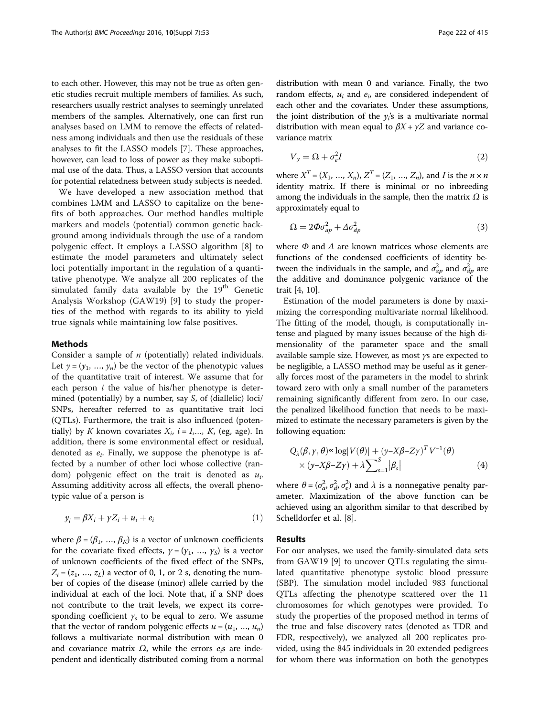<span id="page-1-0"></span>to each other. However, this may not be true as often genetic studies recruit multiple members of families. As such, researchers usually restrict analyses to seemingly unrelated members of the samples. Alternatively, one can first run analyses based on LMM to remove the effects of relatedness among individuals and then use the residuals of these analyses to fit the LASSO models [\[7\]](#page-5-0). These approaches, however, can lead to loss of power as they make suboptimal use of the data. Thus, a LASSO version that accounts for potential relatedness between study subjects is needed.

We have developed a new association method that combines LMM and LASSO to capitalize on the benefits of both approaches. Our method handles multiple markers and models (potential) common genetic background among individuals through the use of a random polygenic effect. It employs a LASSO algorithm [[8\]](#page-5-0) to estimate the model parameters and ultimately select loci potentially important in the regulation of a quantitative phenotype. We analyze all 200 replicates of the simulated family data available by the  $19<sup>th</sup>$  Genetic Analysis Workshop (GAW19) [\[9](#page-5-0)] to study the properties of the method with regards to its ability to yield true signals while maintaining low false positives.

### Methods

Consider a sample of  $n$  (potentially) related individuals. Let  $y = (y_1, ..., y_n)$  be the vector of the phenotypic values of the quantitative trait of interest. We assume that for each person  $i$  the value of his/her phenotype is determined (potentially) by a number, say S, of (diallelic) loci/ SNPs, hereafter referred to as quantitative trait loci (QTLs). Furthermore, the trait is also influenced (potentially) by K known covariates  $X_i$ ,  $i = 1,..., K$ , (eg, age). In addition, there is some environmental effect or residual, denoted as  $e_i$ . Finally, we suppose the phenotype is affected by a number of other loci whose collective (random) polygenic effect on the trait is denoted as  $u_i$ . Assuming additivity across all effects, the overall phenotypic value of a person is

$$
y_i = \beta X_i + \gamma Z_i + u_i + e_i \tag{1}
$$

where  $\beta = (\beta_1, ..., \beta_K)$  is a vector of unknown coefficients for the covariate fixed effects,  $\gamma = (\gamma_1, \ldots, \gamma_s)$  is a vector of unknown coefficients of the fixed effect of the SNPs,  $Z_i = (z_1, ..., z_L)$  a vector of 0, 1, or 2 s, denoting the number of copies of the disease (minor) allele carried by the individual at each of the loci. Note that, if a SNP does not contribute to the trait levels, we expect its corresponding coefficient  $\gamma_s$  to be equal to zero. We assume that the vector of random polygenic effects  $u = (u_1, ..., u_n)$ follows a multivariate normal distribution with mean 0 and covariance matrix  $\Omega$ , while the errors  $e_i$ s are independent and identically distributed coming from a normal distribution with mean 0 and variance. Finally, the two random effects,  $u_i$  and  $e_i$ , are considered independent of each other and the covariates. Under these assumptions, the joint distribution of the  $y_i$ 's is a multivariate normal distribution with mean equal to  $\beta X + \gamma Z$  and variance covariance matrix

$$
V_y = \Omega + \sigma_e^2 I \tag{2}
$$

where  $X^T = (X_1, ..., X_n), Z^T = (Z_1, ..., Z_n)$ , and I is the  $n \times n$ identity matrix. If there is minimal or no inbreeding among the individuals in the sample, then the matrix  $\Omega$  is approximately equal to

$$
\Omega = 2\Phi \sigma_{ap}^2 + \Delta \sigma_{dp}^2 \tag{3}
$$

where  $\Phi$  and  $\Delta$  are known matrices whose elements are functions of the condensed coefficients of identity between the individuals in the sample, and  $\sigma_{ap}^2$  and  $\sigma_{dp}^2$  are the additive and dominance polygenic variance of the trait [[4,](#page-5-0) [10\]](#page-5-0).

Estimation of the model parameters is done by maximizing the corresponding multivariate normal likelihood. The fitting of the model, though, is computationally intense and plagued by many issues because of the high dimensionality of the parameter space and the small available sample size. However, as most γs are expected to be negligible, a LASSO method may be useful as it generally forces most of the parameters in the model to shrink toward zero with only a small number of the parameters remaining significantly different from zero. In our case, the penalized likelihood function that needs to be maximized to estimate the necessary parameters is given by the following equation:

$$
Q_{\lambda}(\beta, \gamma, \theta) \propto \log |V(\theta)| + (\gamma - X\beta - Z\gamma)^{T} V^{-1}(\theta)
$$
  
 
$$
\times (\gamma - X\beta - Z\gamma) + \lambda \sum_{s=1}^{S} |\beta_{s}|
$$
 (4)

where  $\theta = (\sigma_a^2, \sigma_d^2, \sigma_e^2)$  and  $\lambda$  is a nonnegative penalty parameter. Maximization of the above function can be achieved using an algorithm similar to that described by Schelldorfer et al. [[8\]](#page-5-0).

## Results

For our analyses, we used the family-simulated data sets from GAW19 [\[9](#page-5-0)] to uncover QTLs regulating the simulated quantitative phenotype systolic blood pressure (SBP). The simulation model included 983 functional QTLs affecting the phenotype scattered over the 11 chromosomes for which genotypes were provided. To study the properties of the proposed method in terms of the true and false discovery rates (denoted as TDR and FDR, respectively), we analyzed all 200 replicates provided, using the 845 individuals in 20 extended pedigrees for whom there was information on both the genotypes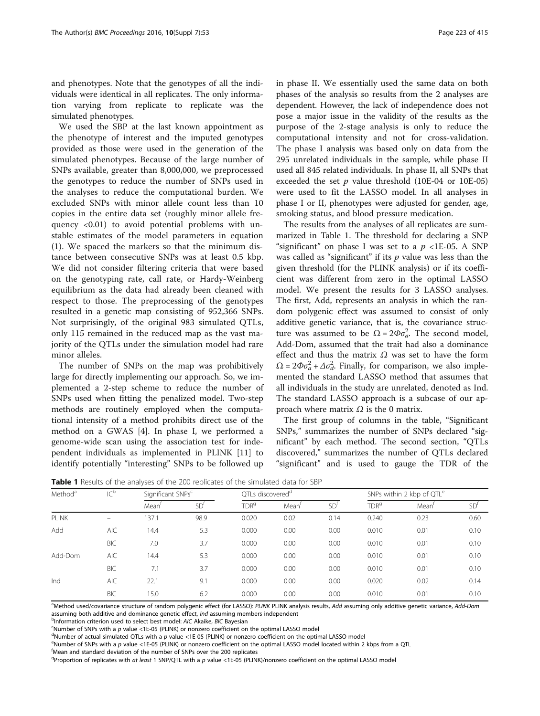<span id="page-2-0"></span>and phenotypes. Note that the genotypes of all the individuals were identical in all replicates. The only information varying from replicate to replicate was the simulated phenotypes.

We used the SBP at the last known appointment as the phenotype of interest and the imputed genotypes provided as those were used in the generation of the simulated phenotypes. Because of the large number of SNPs available, greater than 8,000,000, we preprocessed the genotypes to reduce the number of SNPs used in the analyses to reduce the computational burden. We excluded SNPs with minor allele count less than 10 copies in the entire data set (roughly minor allele frequency <0.01) to avoid potential problems with unstable estimates of the model parameters in equation ([1\)](#page-1-0). We spaced the markers so that the minimum distance between consecutive SNPs was at least 0.5 kbp. We did not consider filtering criteria that were based on the genotyping rate, call rate, or Hardy-Weinberg equilibrium as the data had already been cleaned with respect to those. The preprocessing of the genotypes resulted in a genetic map consisting of 952,366 SNPs. Not surprisingly, of the original 983 simulated QTLs, only 115 remained in the reduced map as the vast majority of the QTLs under the simulation model had rare minor alleles.

The number of SNPs on the map was prohibitively large for directly implementing our approach. So, we implemented a 2-step scheme to reduce the number of SNPs used when fitting the penalized model. Two-step methods are routinely employed when the computational intensity of a method prohibits direct use of the method on a GWAS [\[4](#page-5-0)]. In phase I, we performed a genome-wide scan using the association test for independent individuals as implemented in PLINK [\[11](#page-5-0)] to identify potentially "interesting" SNPs to be followed up in phase II. We essentially used the same data on both phases of the analysis so results from the 2 analyses are dependent. However, the lack of independence does not pose a major issue in the validity of the results as the purpose of the 2-stage analysis is only to reduce the computational intensity and not for cross-validation. The phase I analysis was based only on data from the 295 unrelated individuals in the sample, while phase II used all 845 related individuals. In phase II, all SNPs that exceeded the set  $p$  value threshold (10E-04 or 10E-05) were used to fit the LASSO model. In all analyses in phase I or II, phenotypes were adjusted for gender, age, smoking status, and blood pressure medication.

The results from the analyses of all replicates are summarized in Table 1. The threshold for declaring a SNP "significant" on phase I was set to a  $p$  <1E-05. A SNP was called as "significant" if its  $p$  value was less than the given threshold (for the PLINK analysis) or if its coefficient was different from zero in the optimal LASSO model. We present the results for 3 LASSO analyses. The first, Add, represents an analysis in which the random polygenic effect was assumed to consist of only additive genetic variance, that is, the covariance structure was assumed to be  $\Omega = 2\Phi \sigma_a^2$ . The second model, Add-Dom, assumed that the trait had also a dominance effect and thus the matrix  $\Omega$  was set to have the form  $\Omega = 2\Phi \sigma_a^2 + \Delta \sigma_d^2$ . Finally, for comparison, we also implemented the standard LASSO method that assumes that all individuals in the study are unrelated, denoted as Ind. The standard LASSO approach is a subcase of our approach where matrix  $\Omega$  is the 0 matrix.

The first group of columns in the table, "Significant SNPs," summarizes the number of SNPs declared "significant" by each method. The second section, "QTLs discovered," summarizes the number of QTLs declared "significant" and is used to gauge the TDR of the

| Method <sup>a</sup> | IC <sub>p</sub>          | Significant SNPs <sup>c</sup> |                 | QTLs discovered <sup>a</sup> |                   |                 | SNPs within 2 kbp of QTL <sup>e</sup> |                   |                 |
|---------------------|--------------------------|-------------------------------|-----------------|------------------------------|-------------------|-----------------|---------------------------------------|-------------------|-----------------|
|                     |                          | Mean <sup>t</sup>             | SD <sup>t</sup> | TDR <sup>9</sup>             | Mean <sup>t</sup> | SD <sup>†</sup> | TDR <sup>9</sup>                      | Mean <sup>t</sup> | SD <sup>t</sup> |
| <b>PLINK</b>        | $\overline{\phantom{0}}$ | 37.1                          | 98.9            | 0.020                        | 0.02              | 0.14            | 0.240                                 | 0.23              | 0.60            |
| Add                 | <b>AIC</b>               | 14.4                          | 5.3             | 0.000                        | 0.00              | 0.00            | 0.010                                 | 0.01              | 0.10            |
|                     | <b>BIC</b>               | 7.0                           | 3.7             | 0.000                        | 0.00              | 0.00            | 0.010                                 | 0.01              | 0.10            |
| Add-Dom             | <b>AIC</b>               | 14.4                          | 5.3             | 0.000                        | 0.00              | 0.00            | 0.010                                 | 0.01              | 0.10            |
|                     | <b>BIC</b>               | 7.1                           | 3.7             | 0.000                        | 0.00              | 0.00            | 0.010                                 | 0.01              | 0.10            |
| Ind                 | <b>AIC</b>               | 22.1                          | 9.1             | 0.000                        | 0.00              | 0.00            | 0.020                                 | 0.02              | 0.14            |
|                     | <b>BIC</b>               | 15.0                          | 6.2             | 0.000                        | 0.00              | 0.00            | 0.010                                 | 0.01              | 0.10            |

**Table 1** Results of the analyses of the 200 replicates of the simulated data for SBP

<sup>a</sup>Method used/covariance structure of random polygenic effect (for LASSO): PLINK PLINK analysis results, Add assuming only additive genetic variance, Add-Dom assuming both additive and dominance genetic effect, Ind assuming members independent

<sup>b</sup>Information criterion used to select best model: AIC Akaike, BIC Bayesian

 $K$  SNumber of SNPs with a p value <1E-05 (PLINK) or nonzero coefficient on the optimal LASSO model

 $d$ Number of actual simulated QTLs with a p value <1E-05 (PLINK) or nonzero coefficient on the optimal LASSO model

<sup>e</sup>Number of SNPs with a p value <1E-05 (PLINK) or nonzero coefficient on the optimal LASSO model located within 2 kbps from a QTL

Mean and standard deviation of the number of SNPs over the 200 replicates

<sup>g</sup>Proportion of replicates with at least 1 SNP/QTL with a p value <1E-05 (PLINK)/nonzero coefficient on the optimal LASSO model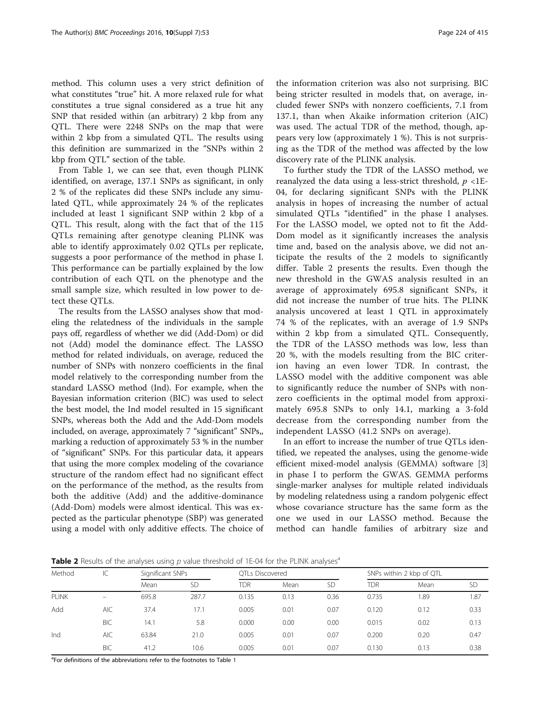method. This column uses a very strict definition of what constitutes "true" hit. A more relaxed rule for what constitutes a true signal considered as a true hit any SNP that resided within (an arbitrary) 2 kbp from any QTL. There were 2248 SNPs on the map that were within 2 kbp from a simulated QTL. The results using this definition are summarized in the "SNPs within 2 kbp from QTL" section of the table.

From Table [1](#page-2-0), we can see that, even though PLINK identified, on average, 137.1 SNPs as significant, in only 2 % of the replicates did these SNPs include any simulated QTL, while approximately 24 % of the replicates included at least 1 significant SNP within 2 kbp of a QTL. This result, along with the fact that of the 115 QTLs remaining after genotype cleaning PLINK was able to identify approximately 0.02 QTLs per replicate, suggests a poor performance of the method in phase I. This performance can be partially explained by the low contribution of each QTL on the phenotype and the small sample size, which resulted in low power to detect these QTLs.

The results from the LASSO analyses show that modeling the relatedness of the individuals in the sample pays off, regardless of whether we did (Add-Dom) or did not (Add) model the dominance effect. The LASSO method for related individuals, on average, reduced the number of SNPs with nonzero coefficients in the final model relatively to the corresponding number from the standard LASSO method (Ind). For example, when the Bayesian information criterion (BIC) was used to select the best model, the Ind model resulted in 15 significant SNPs, whereas both the Add and the Add-Dom models included, on average, approximately 7 "significant" SNPs,, marking a reduction of approximately 53 % in the number of "significant" SNPs. For this particular data, it appears that using the more complex modeling of the covariance structure of the random effect had no significant effect on the performance of the method, as the results from both the additive (Add) and the additive-dominance (Add-Dom) models were almost identical. This was expected as the particular phenotype (SBP) was generated using a model with only additive effects. The choice of

the information criterion was also not surprising. BIC being stricter resulted in models that, on average, included fewer SNPs with nonzero coefficients, 7.1 from 137.1, than when Akaike information criterion (AIC) was used. The actual TDR of the method, though, appears very low (approximately 1 %). This is not surprising as the TDR of the method was affected by the low discovery rate of the PLINK analysis.

To further study the TDR of the LASSO method, we reanalyzed the data using a less-strict threshold,  $p < 1E$ -04, for declaring significant SNPs with the PLINK analysis in hopes of increasing the number of actual simulated QTLs "identified" in the phase I analyses. For the LASSO model, we opted not to fit the Add-Dom model as it significantly increases the analysis time and, based on the analysis above, we did not anticipate the results of the 2 models to significantly differ. Table 2 presents the results. Even though the new threshold in the GWAS analysis resulted in an average of approximately 695.8 significant SNPs, it did not increase the number of true hits. The PLINK analysis uncovered at least 1 QTL in approximately 74 % of the replicates, with an average of 1.9 SNPs within 2 kbp from a simulated QTL. Consequently, the TDR of the LASSO methods was low, less than 20 %, with the models resulting from the BIC criterion having an even lower TDR. In contrast, the LASSO model with the additive component was able to significantly reduce the number of SNPs with nonzero coefficients in the optimal model from approximately 695.8 SNPs to only 14.1, marking a 3-fold decrease from the corresponding number from the independent LASSO (41.2 SNPs on average).

In an effort to increase the number of true QTLs identified, we repeated the analyses, using the genome-wide efficient mixed-model analysis (GEMMA) software [\[3](#page-5-0)] in phase I to perform the GWAS. GEMMA performs single-marker analyses for multiple related individuals by modeling relatedness using a random polygenic effect whose covariance structure has the same form as the one we used in our LASSO method. Because the method can handle families of arbitrary size and

**Table 2** Results of the analyses using p value threshold of 1E-04 for the PLINK analyses<sup>a</sup>

| Method | $\mathsf{IC}$            | Significant SNPs |           | OTLs Discovered |      |           | SNPs within 2 kbp of QTL |      |           |
|--------|--------------------------|------------------|-----------|-----------------|------|-----------|--------------------------|------|-----------|
|        |                          | Mean             | <b>SD</b> | TDR             | Mean | <b>SD</b> | <b>TDR</b>               | Mean | <b>SD</b> |
| PLINK  | $\overline{\phantom{0}}$ | 695.8            | 287.7     | 0.135           | 0.13 | 0.36      | 0.735                    | 1.89 | 1.87      |
| Add    | <b>AIC</b>               | 37.4             | 17.1      | 0.005           | 0.01 | 0.07      | 0.120                    | 0.12 | 0.33      |
|        | <b>BIC</b>               | 14.1             | 5.8       | 0.000           | 0.00 | 0.00      | 0.015                    | 0.02 | 0.13      |
| Ind    | <b>AIC</b>               | 63.84            | 21.0      | 0.005           | 0.01 | 0.07      | 0.200                    | 0.20 | 0.47      |
|        | <b>BIC</b>               | 41.2             | 10.6      | 0.005           | 0.01 | 0.07      | 0.130                    | 0.13 | 0.38      |

<sup>a</sup>For definitions of the abbreviations refer to the footnotes to Table [1](#page-2-0)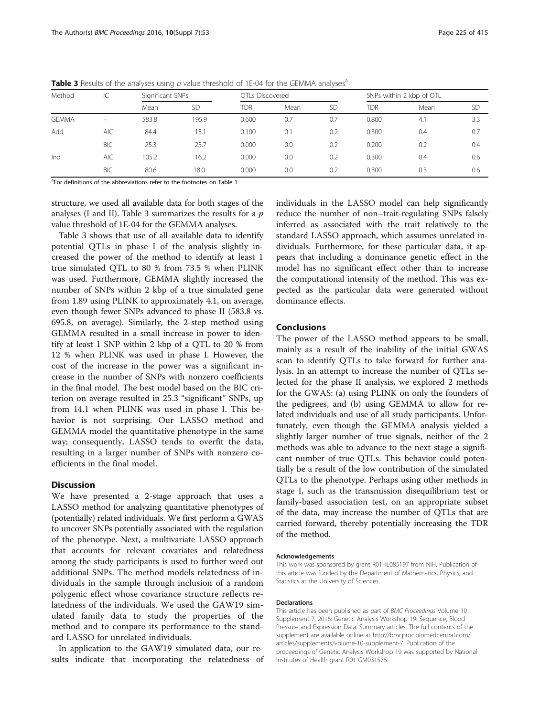| Method       | $\mathsf{IC}$            | Significant SNPs |           | OTLs Discovered |      |           | SNPs within 2 kbp of QTL |      |           |
|--------------|--------------------------|------------------|-----------|-----------------|------|-----------|--------------------------|------|-----------|
|              |                          | Mean             | <b>SD</b> | TDR             | Mean | <b>SD</b> | TDR                      | Mean | <b>SD</b> |
| <b>GEMMA</b> | $\overline{\phantom{0}}$ | 583.8            | 195.9     | 0.600           | 0.7  | 0.7       | 0.800                    | 4.1  | 3.3       |
| Add          | <b>AIC</b>               | 84.4             | 15.1      | 0.100           | 0.1  | 0.2       | 0.300                    | 0.4  | 0.7       |
|              | <b>BIC</b>               | 25.3             | 25.7      | 0.000           | 0.0  | 0.2       | 0.200                    | 0.2  | 0.4       |
| Ind          | <b>AIC</b>               | 105.2            | 16.2      | 0.000           | 0.0  | 0.2       | 0.300                    | 0.4  | 0.6       |
|              | <b>BIC</b>               | 80.6             | 18.0      | 0.000           | 0.0  | 0.2       | 0.300                    | 0.3  | 0.6       |

**Table 3** Results of the analyses using p value threshold of 1E-04 for the GEMMA analyses<sup>a</sup>

<sup>a</sup>For definitions of the abbreviations refer to the footnotes on Table [1](#page-2-0)

structure, we used all available data for both stages of the analyses (I and II). Table 3 summarizes the results for a  $p$ value threshold of 1E-04 for the GEMMA analyses.

Table 3 shows that use of all available data to identify potential QTLs in phase I of the analysis slightly increased the power of the method to identify at least 1 true simulated QTL to 80 % from 73.5 % when PLINK was used. Furthermore, GEMMA slightly increased the number of SNPs within 2 kbp of a true simulated gene from 1.89 using PLINK to approximately 4.1, on average, even though fewer SNPs advanced to phase II (583.8 vs. 695.8, on average). Similarly, the 2-step method using GEMMA resulted in a small increase in power to identify at least 1 SNP within 2 kbp of a QTL to 20 % from 12 % when PLINK was used in phase I. However, the cost of the increase in the power was a significant increase in the number of SNPs with nonzero coefficients in the final model. The best model based on the BIC criterion on average resulted in 25.3 "significant" SNPs, up from 14.1 when PLINK was used in phase I. This behavior is not surprising. Our LASSO method and GEMMA model the quantitative phenotype in the same way; consequently, LASSO tends to overfit the data, resulting in a larger number of SNPs with nonzero coefficients in the final model.

# **Discussion**

We have presented a 2-stage approach that uses a LASSO method for analyzing quantitative phenotypes of (potentially) related individuals. We first perform a GWAS to uncover SNPs potentially associated with the regulation of the phenotype. Next, a multivariate LASSO approach that accounts for relevant covariates and relatedness among the study participants is used to further weed out additional SNPs. The method models relatedness of individuals in the sample through inclusion of a random polygenic effect whose covariance structure reflects relatedness of the individuals. We used the GAW19 simulated family data to study the properties of the method and to compare its performance to the standard LASSO for unrelated individuals.

In application to the GAW19 simulated data, our results indicate that incorporating the relatedness of individuals in the LASSO model can help significantly reduce the number of non–trait-regulating SNPs falsely inferred as associated with the trait relatively to the standard LASSO approach, which assumes unrelated individuals. Furthermore, for these particular data, it appears that including a dominance genetic effect in the model has no significant effect other than to increase the computational intensity of the method. This was expected as the particular data were generated without dominance effects.

# Conclusions

The power of the LASSO method appears to be small, mainly as a result of the inability of the initial GWAS scan to identify QTLs to take forward for further analysis. In an attempt to increase the number of QTLs selected for the phase II analysis, we explored 2 methods for the GWAS: (a) using PLINK on only the founders of the pedigrees, and (b) using GEMMA to allow for related individuals and use of all study participants. Unfortunately, even though the GEMMA analysis yielded a slightly larger number of true signals, neither of the 2 methods was able to advance to the next stage a significant number of true QTLs. This behavior could potentially be a result of the low contribution of the simulated QTLs to the phenotype. Perhaps using other methods in stage I, such as the transmission disequilibrium test or family-based association test, on an appropriate subset of the data, may increase the number of QTLs that are carried forward, thereby potentially increasing the TDR of the method.

#### Acknowledgements

This work was sponsored by grant R01HL085197 from NIH. Publication of this article was funded by the Department of Mathematics, Physics, and Statistics at the University of Sciences.

#### Declarations

This article has been published as part of BMC Proceedings Volume 10 Supplement 7, 2016: Genetic Analysis Workshop 19: Sequence, Blood Pressure and Expression Data. Summary articles. The full contents of the supplement are available online at [http://bmcproc.biomedcentral.com/](http://bmcproc.biomedcentral.com/articles/supplements/volume-10-supplement-7) [articles/supplements/volume-10-supplement-7.](http://bmcproc.biomedcentral.com/articles/supplements/volume-10-supplement-7) Publication of the proceedings of Genetic Analysis Workshop 19 was supported by National Institutes of Health grant R01 GM031575.